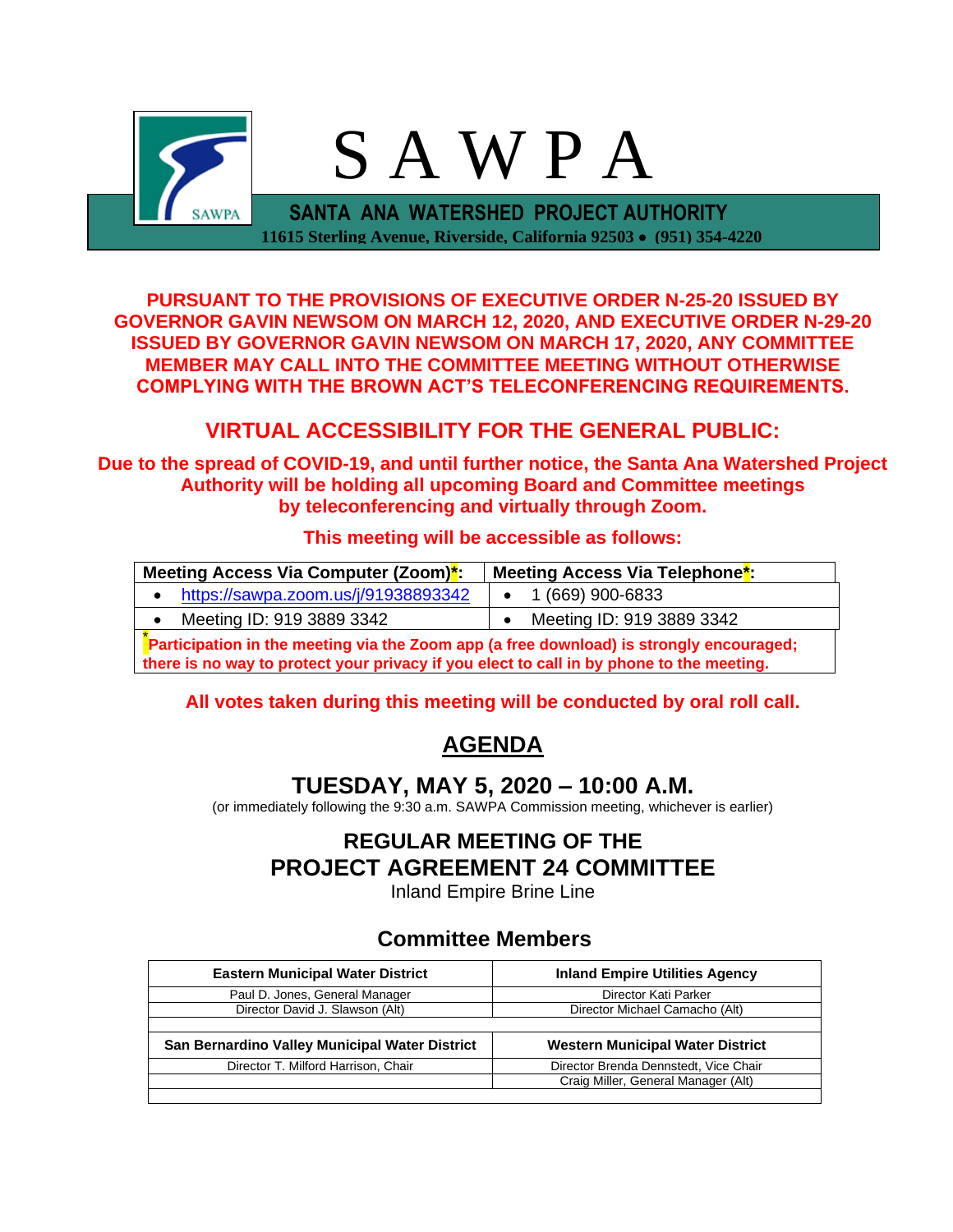

**PURSUANT TO THE PROVISIONS OF EXECUTIVE ORDER N-25-20 ISSUED BY GOVERNOR GAVIN NEWSOM ON MARCH 12, 2020, AND EXECUTIVE ORDER N-29-20 ISSUED BY GOVERNOR GAVIN NEWSOM ON MARCH 17, 2020, ANY COMMITTEE MEMBER MAY CALL INTO THE COMMITTEE MEETING WITHOUT OTHERWISE COMPLYING WITH THE BROWN ACT'S TELECONFERENCING REQUIREMENTS.**

# **VIRTUAL ACCESSIBILITY FOR THE GENERAL PUBLIC:**

**Due to the spread of COVID-19, and until further notice, the Santa Ana Watershed Project Authority will be holding all upcoming Board and Committee meetings by teleconferencing and virtually through Zoom.**

#### **This meeting will be accessible as follows:**

| Meeting Access Via Computer (Zoom) <sup>*</sup> :                                                                                                                                                         | Meeting Access Via Telephone*: |  |
|-----------------------------------------------------------------------------------------------------------------------------------------------------------------------------------------------------------|--------------------------------|--|
| https://sawpa.zoom.us/j/91938893342                                                                                                                                                                       | 1 (669) 900-6833               |  |
| Meeting ID: 919 3889 3342                                                                                                                                                                                 | Meeting ID: 919 3889 3342      |  |
| Participation in the meeting via the Zoom app (a free download) is strongly encouraged;<br>그 그 그 그는 그 그 그 그 그는 그 그 그 그 그 그 그 그 그는 그 그 그는 그 그는 그 그는 그 그는 그 그는 그 그는 그 그는 그 그는 그 그는 그 그는 그 그는 그 그는 그 그는 그 그는 |                                |  |

**there is no way to protect your privacy if you elect to call in by phone to the meeting.**

#### **All votes taken during this meeting will be conducted by oral roll call.**

# **AGENDA**

# **TUESDAY, MAY 5, 2020 – 10:00 A.M.**

(or immediately following the 9:30 a.m. SAWPA Commission meeting, whichever is earlier)

# **REGULAR MEETING OF THE PROJECT AGREEMENT 24 COMMITTEE**

Inland Empire Brine Line

## **Committee Members**

| <b>Eastern Municipal Water District</b>        | <b>Inland Empire Utilities Agency</b> |  |  |
|------------------------------------------------|---------------------------------------|--|--|
| Paul D. Jones, General Manager                 | Director Kati Parker                  |  |  |
| Director David J. Slawson (Alt)                | Director Michael Camacho (Alt)        |  |  |
|                                                |                                       |  |  |
| San Bernardino Valley Municipal Water District | Western Municipal Water District      |  |  |
| Director T. Milford Harrison, Chair            | Director Brenda Dennstedt, Vice Chair |  |  |
|                                                | Craig Miller, General Manager (Alt)   |  |  |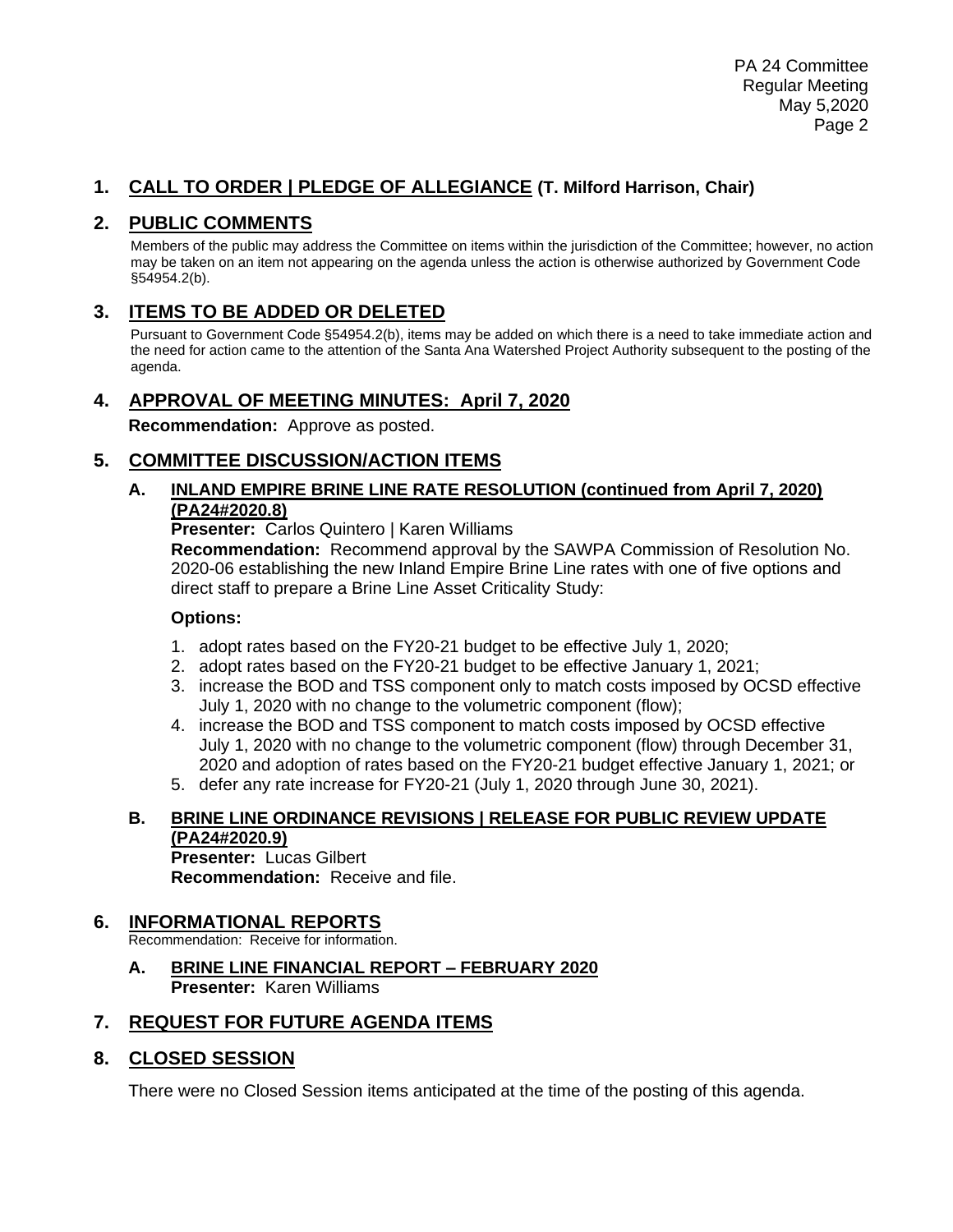### **1. CALL TO ORDER | PLEDGE OF ALLEGIANCE (T. Milford Harrison, Chair)**

### **2. PUBLIC COMMENTS**

Members of the public may address the Committee on items within the jurisdiction of the Committee; however, no action may be taken on an item not appearing on the agenda unless the action is otherwise authorized by Government Code §54954.2(b).

### **3. ITEMS TO BE ADDED OR DELETED**

Pursuant to Government Code §54954.2(b), items may be added on which there is a need to take immediate action and the need for action came to the attention of the Santa Ana Watershed Project Authority subsequent to the posting of the agenda.

#### **4. APPROVAL OF MEETING MINUTES: April 7, 2020**

**Recommendation:** Approve as posted.

#### **5. COMMITTEE DISCUSSION/ACTION ITEMS**

#### **A. INLAND EMPIRE BRINE LINE RATE RESOLUTION (continued from April 7, 2020) (PA24#2020.8)**

**Presenter:** Carlos Quintero | Karen Williams

**Recommendation:** Recommend approval by the SAWPA Commission of Resolution No. 2020-06 establishing the new Inland Empire Brine Line rates with one of five options and direct staff to prepare a Brine Line Asset Criticality Study:

#### **Options:**

- 1. adopt rates based on the FY20-21 budget to be effective July 1, 2020;
- 2. adopt rates based on the FY20-21 budget to be effective January 1, 2021;
- 3. increase the BOD and TSS component only to match costs imposed by OCSD effective July 1, 2020 with no change to the volumetric component (flow);
- 4. increase the BOD and TSS component to match costs imposed by OCSD effective July 1, 2020 with no change to the volumetric component (flow) through December 31, 2020 and adoption of rates based on the FY20-21 budget effective January 1, 2021; or
- 5. defer any rate increase for FY20-21 (July 1, 2020 through June 30, 2021).

#### **B. BRINE LINE ORDINANCE REVISIONS | RELEASE FOR PUBLIC REVIEW UPDATE (PA24#2020.9)**

**Presenter:** Lucas Gilbert **Recommendation:** Receive and file.

#### **6. INFORMATIONAL REPORTS**

Recommendation: Receive for information.

**A. BRINE LINE FINANCIAL REPORT – FEBRUARY 2020 Presenter:** Karen Williams

#### **7. REQUEST FOR FUTURE AGENDA ITEMS**

#### **8. CLOSED SESSION**

There were no Closed Session items anticipated at the time of the posting of this agenda.